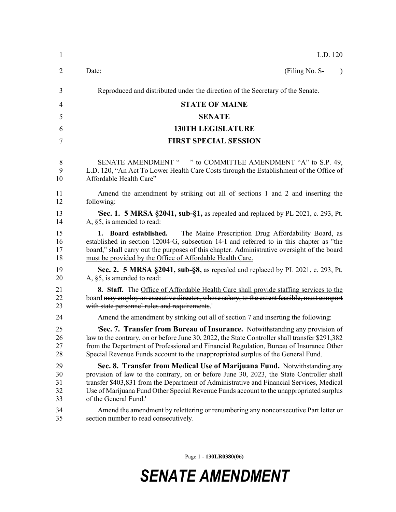| $\mathbf{1}$               | L.D. 120                                                                                                                                                                                                                                                                                                                                                                             |
|----------------------------|--------------------------------------------------------------------------------------------------------------------------------------------------------------------------------------------------------------------------------------------------------------------------------------------------------------------------------------------------------------------------------------|
| 2                          | Date:<br>(Filing No. S-<br>$\lambda$                                                                                                                                                                                                                                                                                                                                                 |
| 3                          | Reproduced and distributed under the direction of the Secretary of the Senate.                                                                                                                                                                                                                                                                                                       |
| 4                          | <b>STATE OF MAINE</b>                                                                                                                                                                                                                                                                                                                                                                |
| 5                          | <b>SENATE</b>                                                                                                                                                                                                                                                                                                                                                                        |
| 6                          | <b>130TH LEGISLATURE</b>                                                                                                                                                                                                                                                                                                                                                             |
| 7                          | <b>FIRST SPECIAL SESSION</b>                                                                                                                                                                                                                                                                                                                                                         |
| 8<br>9<br>10               | SENATE AMENDMENT " " to COMMITTEE AMENDMENT "A" to S.P. 49,<br>L.D. 120, "An Act To Lower Health Care Costs through the Establishment of the Office of<br>Affordable Health Care"                                                                                                                                                                                                    |
| 11<br>12                   | Amend the amendment by striking out all of sections 1 and 2 and inserting the<br>following:                                                                                                                                                                                                                                                                                          |
| 13<br>14                   | <b>Sec. 1. 5 MRSA §2041, sub-§1,</b> as repealed and replaced by PL 2021, c. 293, Pt.<br>A, §5, is amended to read:                                                                                                                                                                                                                                                                  |
| 15<br>16<br>17<br>18       | The Maine Prescription Drug Affordability Board, as<br>1. Board established.<br>established in section 12004-G, subsection 14-I and referred to in this chapter as "the<br>board," shall carry out the purposes of this chapter. Administrative oversight of the board<br>must be provided by the Office of Affordable Health Care.                                                  |
| 19<br>20                   | Sec. 2. 5 MRSA §2041, sub-§8, as repealed and replaced by PL 2021, c. 293, Pt.<br>A, $\S5$ , is amended to read:                                                                                                                                                                                                                                                                     |
| 21<br>22<br>23             | <b>8.</b> Staff. The Office of Affordable Health Care shall provide staffing services to the<br>board may employ an executive director, whose salary, to the extent feasible, must comport<br>with state personnel rules and requirements.'                                                                                                                                          |
| 24                         | Amend the amendment by striking out all of section 7 and inserting the following:                                                                                                                                                                                                                                                                                                    |
| 25<br>26<br>27<br>28       | <b>Sec. 7. Transfer from Bureau of Insurance.</b> Notwithstanding any provision of<br>law to the contrary, on or before June 30, 2022, the State Controller shall transfer \$291,382<br>from the Department of Professional and Financial Regulation, Bureau of Insurance Other<br>Special Revenue Funds account to the unappropriated surplus of the General Fund.                  |
| 29<br>30<br>31<br>32<br>33 | Sec. 8. Transfer from Medical Use of Marijuana Fund. Notwithstanding any<br>provision of law to the contrary, on or before June 30, 2023, the State Controller shall<br>transfer \$403,831 from the Department of Administrative and Financial Services, Medical<br>Use of Marijuana Fund Other Special Revenue Funds account to the unappropriated surplus<br>of the General Fund.' |
| 34<br>35                   | Amend the amendment by relettering or renumbering any nonconsecutive Part letter or<br>section number to read consecutively.                                                                                                                                                                                                                                                         |

Page 1 - **130LR0380(06)**

## *SENATE AMENDMENT*